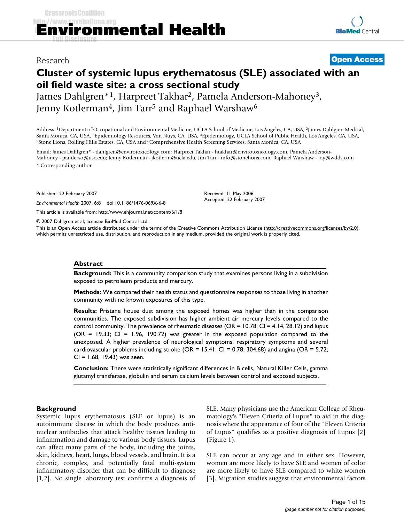## Research **[Open Access](http://www.biomedcentral.com/info/about/charter/)**

# **Cluster of systemic lupus erythematosus (SLE) associated with an oil field waste site: a cross sectional study**

James Dahlgren\*1, Harpreet Takhar2, Pamela Anderson-Mahoney3, Jenny Kotlerman<sup>4</sup>, Jim Tarr<sup>5</sup> and Raphael Warshaw<sup>6</sup>

Address: 1Department of Occupational and Environmental Medicine, UCLA School of Medicine, Los Angeles, CA, USA, 2James Dahlgren Medical, Santa Monica, CA, USA, <sup>3</sup>Epidemiology Resources, Van Nuys, CA, USA, <sup>4</sup>Epidemiology, UCLA School of Public Health, Los Angeles, CA, USA, <sup>5</sup>Stone Lions, Rolling Hills Estates, CA, USA and <sup>6</sup>Comprehensive Health Screening

Email: James Dahlgren\* - dahlgren@envirotoxicology.com; Harpreet Takhar - htakhar@envirotoxicology.com; Pamela Anderson-Mahoney - panderso@usc.edu; Jenny Kotlerman - jkotlerm@ucla.edu; Jim Tarr - info@stonelions.com; Raphael Warshaw - ray@wdds.com \* Corresponding author

Published: 22 February 2007

*Environmental Health* 2007, **6**:8 doi:10.1186/1476-069X-6-8

[This article is available from: http://www.ehjournal.net/content/6/1/8](http://www.ehjournal.net/content/6/1/8)

© 2007 Dahlgren et al; licensee BioMed Central Ltd.

This is an Open Access article distributed under the terms of the Creative Commons Attribution License [\(http://creativecommons.org/licenses/by/2.0\)](http://creativecommons.org/licenses/by/2.0), which permits unrestricted use, distribution, and reproduction in any medium, provided the original work is properly cited.

Received: 11 May 2006 Accepted: 22 February 2007

#### **Abstract**

**Background:** This is a community comparison study that examines persons living in a subdivision exposed to petroleum products and mercury.

**Methods:** We compared their health status and questionnaire responses to those living in another community with no known exposures of this type.

**Results:** Pristane house dust among the exposed homes was higher than in the comparison communities. The exposed subdivision has higher ambient air mercury levels compared to the control community. The prevalence of rheumatic diseases (OR = 10.78; CI = 4.14, 28.12) and lupus (OR = 19.33; CI = 1.96, 190.72) was greater in the exposed population compared to the unexposed. A higher prevalence of neurological symptoms, respiratory symptoms and several cardiovascular problems including stroke (OR = 15.41; CI = 0.78, 304.68) and angina (OR = 5.72;  $CI = 1.68, 19.43$  was seen.

**Conclusion:** There were statistically significant differences in B cells, Natural Killer Cells, gamma glutamyl transferase, globulin and serum calcium levels between control and exposed subjects.

#### **Background**

Systemic lupus erythematosus (SLE or lupus) is an autoimmune disease in which the body produces antinuclear antibodies that attack healthy tissues leading to inflammation and damage to various body tissues. Lupus can affect many parts of the body, including the joints, skin, kidneys, heart, lungs, blood vessels, and brain. It is a chronic, complex, and potentially fatal multi-system inflammatory disorder that can be difficult to diagnose [1,2]. No single laboratory test confirms a diagnosis of SLE. Many physicians use the American College of Rheumatology's "Eleven Criteria of Lupus" to aid in the diagnosis where the appearance of four of the "Eleven Criteria of Lupus" qualifies as a positive diagnosis of Lupus [2] (Figure 1).

SLE can occur at any age and in either sex. However, women are more likely to have SLE and women of color are more likely to have SLE compared to white women [3]. Migration studies suggest that environmental factors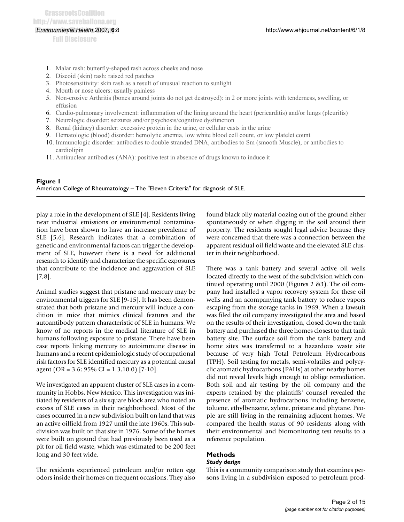- 1. Malar rash: butterfly-shaped rash across cheeks and nose
- 2. Discoid (skin) rash: raised red patches
- 3. Photosensitivity: skin rash as a result of unusual reaction to sunlight
- 4. Mouth or nose ulcers: usually painless
- 5. Non-erosive Arthritis (bones around joints do not get destroyed): in 2 or more joints with tenderness, swelling, or effusion
- 6. Cardio-pulmonary involvement: inflammation of the lining around the heart (pericarditis) and/or lungs (pleuritis)
- 7. Neurologic disorder: seizures and/or psychosis/cognitive dysfunction
- 8. Renal (kidney) disorder: excessive protein in the urine, or cellular casts in the urine
- 9. Hematologic (blood) disorder: hemolytic anemia, low white blood cell count, or low platelet count
- 10. Immunologic disorder: antibodies to double stranded DNA, antibodies to Sm (smooth Muscle), or antibodies to cardiolipin
- 11. Antinuclear antibodies (ANA): positive test in absence of drugs known to induce it

#### American College of Rheumatology – The "Eleven Criteria" for diagnosis of SLE **Figure 1** American College of Rheumatology – The "Eleven Criteria" for diagnosis of SLE.

play a role in the development of SLE [4]. Residents living near industrial emissions or environmental contamination have been shown to have an increase prevalence of SLE [5,6]. Research indicates that a combination of genetic and environmental factors can trigger the development of SLE, however there is a need for additional research to identify and characterize the specific exposures that contribute to the incidence and aggravation of SLE [7,8].

Animal studies suggest that pristane and mercury may be environmental triggers for SLE [9-15]. It has been demonstrated that both pristane and mercury will induce a condition in mice that mimics clinical features and the autoantibody pattern characteristic of SLE in humans. We know of no reports in the medical literature of SLE in humans following exposure to pristane. There have been case reports linking mercury to autoimmune disease in humans and a recent epidemiologic study of occupational risk factors for SLE identified mercury as a potential causal agent (OR = 3.6; 95% CI = 1.3,10.0) [7-10].

We investigated an apparent cluster of SLE cases in a community in Hobbs, New Mexico. This investigation was initiated by residents of a six square block area who noted an excess of SLE cases in their neighborhood. Most of the cases occurred in a new subdivision built on land that was an active oilfield from 1927 until the late 1960s. This subdivision was built on that site in 1976. Some of the homes were built on ground that had previously been used as a pit for oil field waste, which was estimated to be 200 feet long and 30 feet wide.

The residents experienced petroleum and/or rotten egg odors inside their homes on frequent occasions. They also found black oily material oozing out of the ground either spontaneously or when digging in the soil around their property. The residents sought legal advice because they were concerned that there was a connection between the apparent residual oil field waste and the elevated SLE cluster in their neighborhood.

There was a tank battery and several active oil wells located directly to the west of the subdivision which continued operating until 2000 (Figures 2 &3). The oil company had installed a vapor recovery system for these oil wells and an acompanying tank battery to reduce vapors escaping from the storage tanks in 1969. When a lawsuit was filed the oil company investigated the area and based on the results of their investigation, closed down the tank battery and purchased the three homes closest to that tank battery site. The surface soil from the tank battery and home sites was transferred to a hazardous waste site because of very high Total Petroleum Hydrocarbons (TPH). Soil testing for metals, semi-volatiles and polycyclic aromatic hydrocarbons (PAHs) at other nearby homes did not reveal levels high enough to oblige remediation. Both soil and air testing by the oil company and the experts retained by the plaintiffs' counsel revealed the presence of aromatic hydrocarbons including benzene, toluene, ethylbenzene, xylene, pristane and phytane. People are still living in the remaining adjacent homes. We compared the health status of 90 residents along with their environmental and biomonitoring test results to a reference population.

#### **Methods** *Study design*

This is a community comparison study that examines persons living in a subdivision exposed to petroleum prod-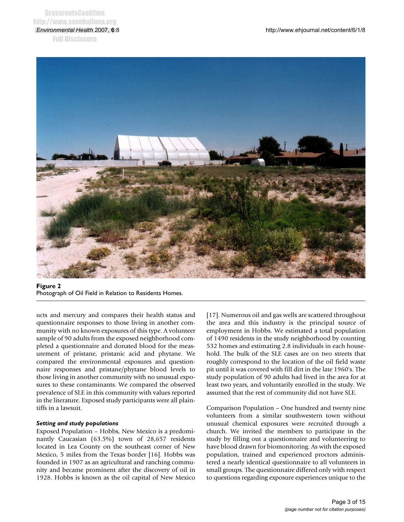

#### **Figure 2** Photograph of Oil Field in Relation to Residents Homes.

ucts and mercury and compares their health status and questionnaire responses to those living in another community with no known exposures of this type. A volunteer sample of 90 adults from the exposed neighborhood completed a questionnaire and donated blood for the measurement of pristane, pristanic acid and phytane. We compared the environmental exposures and questionnaire responses and pristane/phytane blood levels to those living in another community with no unusual exposures to these contaminants. We compared the observed prevalence of SLE in this community with values reported in the literature. Exposed study participants were all plaintiffs in a lawsuit.

#### *Setting and study populations*

Exposed Population – Hobbs, New Mexico is a predominantly Caucasian (63.5%) town of 28,657 residents located in Lea County on the southeast corner of New Mexico, 5 miles from the Texas border [16]. Hobbs was founded in 1907 as an agricultural and ranching community and became prominent after the discovery of oil in 1928. Hobbs is known as the oil capital of New Mexico [17]. Numerous oil and gas wells are scattered throughout the area and this industry is the principal source of employment in Hobbs. We estimated a total population of 1490 residents in the study neighborhood by counting 532 homes and estimating 2.8 individuals in each household. The bulk of the SLE cases are on two streets that roughly correspond to the location of the oil field waste pit until it was covered with fill dirt in the late 1960's. The study population of 90 adults had lived in the area for at least two years, and voluntarily enrolled in the study. We assumed that the rest of community did not have SLE.

Comparison Population – One hundred and twenty nine volunteers from a similar southwestern town without unusual chemical exposures were recruited through a church. We invited the members to participate in the study by filling out a questionnaire and volunteering to have blood drawn for biomonitoring. As with the exposed population, trained and experienced proctors administered a nearly identical questionnaire to all volunteers in small groups. The questionnaire differed only with respect to questions regarding exposure experiences unique to the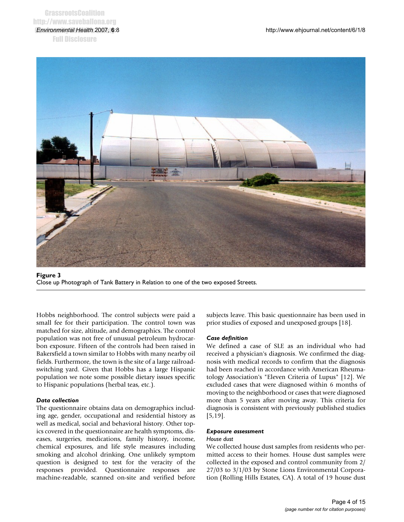

Close up Photograph of Tank Battery in Rela **Figure 3** tion to one of the two exposed Streets Close up Photograph of Tank Battery in Relation to one of the two exposed Streets.

Hobbs neighborhood. The control subjects were paid a small fee for their participation. The control town was matched for size, altitude, and demographics. The control population was not free of unusual petroleum hydrocarbon exposure. Fifteen of the controls had been raised in Bakersfield a town similar to Hobbs with many nearby oil fields. Furthermore, the town is the site of a large railroadswitching yard. Given that Hobbs has a large Hispanic population we note some possible dietary issues specific to Hispanic populations (herbal teas, etc.).

#### *Data collection*

The questionnaire obtains data on demographics including age, gender, occupational and residential history as well as medical, social and behavioral history. Other topics covered in the questionnaire are health symptoms, diseases, surgeries, medications, family history, income, chemical exposures, and life style measures including smoking and alcohol drinking. One unlikely symptom question is designed to test for the veracity of the responses provided. Questionnaire responses are machine-readable, scanned on-site and verified before subjects leave. This basic questionnaire has been used in prior studies of exposed and unexposed groups [18].

#### *Case definition*

We defined a case of SLE as an individual who had received a physician's diagnosis. We confirmed the diagnosis with medical records to confirm that the diagnosis had been reached in accordance with American Rheumatology Association's "Eleven Criteria of Lupus" [12]. We excluded cases that were diagnosed within 6 months of moving to the neighborhood or cases that were diagnosed more than 5 years after moving away. This criteria for diagnosis is consistent with previously published studies [5,19].

#### *Exposure assessment*

#### *House dust*

We collected house dust samples from residents who permitted access to their homes. House dust samples were collected in the exposed and control community from 2/ 27/03 to 3/1/03 by Stone Lions Environmental Corporation (Rolling Hills Estates, CA). A total of 19 house dust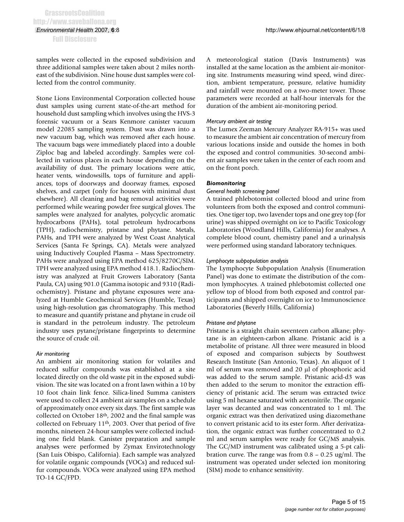samples were collected in the exposed subdivision and three additional samples were taken about 2 miles northeast of the subdivision. Nine house dust samples were collected from the control community.

Stone Lions Environmental Corporation collected house dust samples using current state-of-the-art method for household dust sampling which involves using the HVS-3 forensic vacuum or a Sears Kenmore canister vacuum model 22085 sampling system. Dust was drawn into a new vacuum bag, which was removed after each house. The vacuum bags were immediately placed into a double Ziploc bag and labeled accordingly. Samples were collected in various places in each house depending on the availability of dust. The primary locations were attic, heater vents, windowsills, tops of furniture and appliances, tops of doorways and doorway frames, exposed shelves, and carpet (only for houses with minimal dust elsewhere). All cleaning and bag removal activities were performed while wearing powder free surgical gloves. The samples were analyzed for analytes, polycyclic aromatic hydrocarbons (PAHs), total petroleum hydrocarbons (TPH), radiochemistry, pristane and phytane. Metals, PAHs, and TPH were analyzed by West Coast Analytical Services (Santa Fe Springs, CA). Metals were analyzed using Inductively Coupled Plasma – Mass Spectrometry. PAHs were analyzed using EPA method 625/8270C/SIM. TPH were analyzed using EPA method 418.1. Radiochemistry was analyzed at Fruit Growers Laboratory (Santa Paula, CA) using 901.0 (Gamma isotopic and 9310 (Radiochemistry). Pristane and phytane exposures were analyzed at Humble Geochemical Services (Humble, Texas) using high-resolution gas chromatography. This method to measure and quantify pristane and phytane in crude oil is standard in the petroleum industry. The petroleum industry uses pytane/pristane fingerprints to determine the source of crude oil.

#### *Air monitoring*

An ambient air monitoring station for volatiles and reduced sulfur compounds was established at a site located directly on the old waste pit in the exposed subdivision. The site was located on a front lawn within a 10 by 10 foot chain link fence. Silica-lined Summa canisters were used to collect 24 ambient air samples on a schedule of approximately once every six days. The first sample was collected on October 18th, 2002 and the final sample was collected on February 11th, 2003. Over that period of five months, nineteen 24-hour samples were collected including one field blank. Canister preparation and sample analyses were performed by Zymax Envirotechnology (San Luis Obispo, California). Each sample was analyzed for volatile organic compounds (VOCs) and reduced sulfur compounds. VOCs were analyzed using EPA method TO-14 GC/FPD.

A meteorological station (Davis Instruments) was installed at the same location as the ambient air-monitoring site. Instruments measuring wind speed, wind direction, ambient temperature, pressure, relative humidity and rainfall were mounted on a two-meter tower. Those parameters were recorded at half-hour intervals for the duration of the ambient air-monitoring period.

#### *Mercury ambient air testing*

The Lumex Zeeman Mercury Analyzer RA-915+ was used to measure the ambient air concentration of mercury from various locations inside and outside the homes in both the exposed and control communities. 30-second ambient air samples were taken in the center of each room and on the front porch.

#### *Biomonitoring*

#### *General health screening panel*

A trained phlebotomist collected blood and urine from volunteers from both the exposed and control communities. One tiger top, two lavender tops and one grey top (for urine) was shipped overnight on ice to Pacific Toxicology Laboratories (Woodland Hills, California) for analyses. A complete blood count, chemistry panel and a urinalysis were performed using standard laboratory techniques.

#### *Lymphocyte subpopulation analysis*

The Lymphocyte Subpopulation Analysis (Enumeration Panel) was done to estimate the distribution of the common lymphocytes. A trained phlebotomist collected one yellow top of blood from both exposed and control participants and shipped overnight on ice to Immunoscience Laboratories (Beverly Hills, California)

#### *Pristane and phytane*

Pristane is a straight chain seventeen carbon alkane; phytane is an eighteen-carbon alkane. Pristanic acid is a metabolite of pristane. All three were measured in blood of exposed and comparison subjects by Southwest Research Institute (San Antonio, Texas). An aliquot of 1 ml of serum was removed and 20 µl of phosphoric acid was added to the serum sample. Pristanic acid-d3 was then added to the serum to monitor the extraction efficiency of pristanic acid. The serum was extracted twice using 5 ml hexane saturated with acetonitrile. The organic layer was decanted and was concentrated to 1 ml. The organic extract was then derivatized using diazomethane to convert pristanic acid to its ester form. After derivatization, the organic extract was further concentrated to 0.2 ml and serum samples were ready for GC/MS analysis. The GC/MD instrument was calibrated using a 5-pt calibration curve. The range was from 0.8 – 0.25 ug/ml. The instrument was operated under selected ion monitoring (SIM) mode to enhance sensitivity.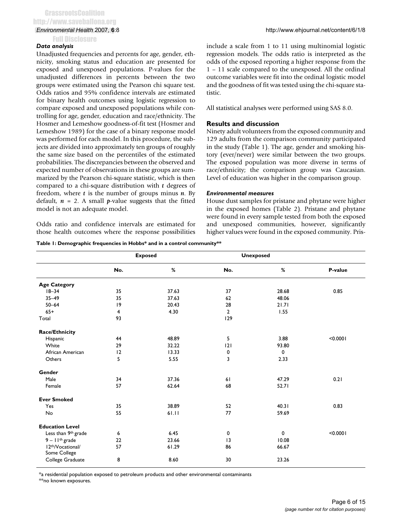#### Full Disclosure

#### *Data analysis*

Unadjusted frequencies and percents for age, gender, ethnicity, smoking status and education are presented for exposed and unexposed populations. P-values for the unadjusted differences in percents between the two groups were estimated using the Pearson chi square test. Odds ratios and 95% confidence intervals are estimated for binary health outcomes using logistic regression to compare exposed and unexposed populations while controlling for age, gender, education and race/ethnicity. The Hosmer and Lemeshow goodness-of-fit test (Hosmer and Lemeshow 1989) for the case of a binary response model was performed for each model. In this procedure, the subjects are divided into approximately ten groups of roughly the same size based on the percentiles of the estimated probabilities. The discrepancies between the observed and expected number of observations in these groups are summarized by the Pearson chi-square statistic, which is then compared to a chi-square distribution with *t* degrees of freedom, where *t* is the number of groups minus *n*. By default,  $n = 2$ . A small  $p$ -value suggests that the fitted model is not an adequate model.

Odds ratio and confidence intervals are estimated for those health outcomes where the response possibilities

**Table 1: Demographic frequencies in Hobbs\* and in a control community\*\***

include a scale from 1 to 11 using multinomial logistic regression models. The odds ratio is interpreted as the odds of the exposed reporting a higher response from the 1 – 11 scale compared to the unexposed. All the ordinal outcome variables were fit into the ordinal logistic model and the goodness of fit was tested using the chi-square statistic.

All statistical analyses were performed using SAS 8.0.

#### **Results and discussion**

Ninety adult volunteers from the exposed community and 129 adults from the comparison community participated in the study (Table 1). The age, gender and smoking history (ever/never) were similar between the two groups. The exposed population was more diverse in terms of race/ethnicity; the comparison group was Caucasian. Level of education was higher in the comparison group.

#### *Environmental measures*

House dust samples for pristane and phytane were higher in the exposed homes (Table 2). Pristane and phytane were found in every sample tested from both the exposed and unexposed communities, however, significantly higher values were found in the exposed community. Pris-

|                                  | <b>Exposed</b> |       | <b>Unexposed</b> |             |          |
|----------------------------------|----------------|-------|------------------|-------------|----------|
|                                  | No.            | $\%$  | No.              | $\%$        | P-value  |
| <b>Age Category</b>              |                |       |                  |             |          |
| $18 - 34$                        | 35             | 37.63 | 37               | 28.68       | 0.85     |
| $35 - 49$                        | 35             | 37.63 | 62               | 48.06       |          |
| $50 - 64$                        | 9              | 20.43 | 28               | 21.71       |          |
| $65+$                            | 4              | 4.30  | $\overline{2}$   | 1.55        |          |
| Total                            | 93             |       | 129              |             |          |
| Race/Ethnicity                   |                |       |                  |             |          |
| Hispanic                         | 44             | 48.89 | 5                | 3.88        | < 0.0001 |
| White                            | 29             | 32.22 | 2                | 93.80       |          |
| African American                 | 12             | 13.33 | 0                | $\mathbf 0$ |          |
| Others                           | 5              | 5.55  | 3                | 2.33        |          |
| Gender                           |                |       |                  |             |          |
| Male                             | 34             | 37.36 | 61               | 47.29       | 0.21     |
| Female                           | 57             | 62.64 | 68               | 52.71       |          |
| <b>Ever Smoked</b>               |                |       |                  |             |          |
| Yes                              | 35             | 38.89 | 52               | 40.31       | 0.83     |
| No                               | 55             | 61.11 | 77               | 59.69       |          |
| <b>Education Level</b>           |                |       |                  |             |          |
| Less than 9th grade              | 6              | 6.45  | 0                | 0           | < 0.0001 |
| $9 - 11$ <sup>th</sup> grade     | 22             | 23.66 | 13               | 10.08       |          |
| 12th/Vocational/<br>Some College | 57             | 61.29 | 86               | 66.67       |          |
| College Graduate                 | 8              | 8.60  | 30               | 23.26       |          |

\*a residential population exposed to petroleum products and other environmental contaminants

\*\*no known exposures.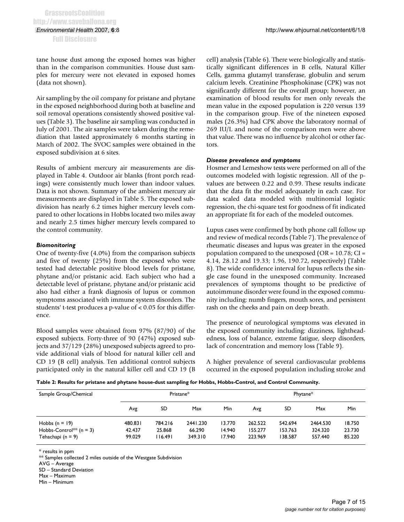tane house dust among the exposed homes was higher than in the comparison communities. House dust samples for mercury were not elevated in exposed homes (data not shown).

Air sampling by the oil company for pristane and phytane in the exposed neighborhood during both at baseline and soil removal operations consistently showed positive values (Table 3). The baseline air sampling was conducted in July of 2001. The air samples were taken during the remediation that lasted approximately 6 months starting in March of 2002. The SVOC samples were obtained in the exposed subdivision at 6 sites.

Results of ambient mercury air measurements are displayed in Table 4. Outdoor air blanks (front porch readings) were consistently much lower than indoor values. Data is not shown. Summary of the ambient mercury air measurements are displayed in Table 5. The exposed subdivision has nearly 6.2 times higher mercury levels compared to other locations in Hobbs located two miles away and nearly 2.5 times higher mercury levels compared to the control community.

#### *Biomonitoring*

One of twenty-five (4.0%) from the comparison subjects and five of twenty (25%) from the exposed who were tested had detectable positive blood levels for pristane, phytane and/or pristanic acid. Each subject who had a detectable level of pristane, phytane and/or pristanic acid also had either a frank diagnosis of lupus or common symptoms associated with immune system disorders. The students' t-test produces a p-value of < 0.05 for this difference.

Blood samples were obtained from 97% (87/90) of the exposed subjects. Forty-three of 90 (47%) exposed subjects and 37/129 (28%) unexposed subjects agreed to provide additional vials of blood for natural killer cell and CD 19 (B cell) analysis. Ten additional control subjects participated only in the natural killer cell and CD 19 (B cell) analysis (Table 6). There were biologically and statistically significant differences in B cells, Natural Killer Cells, gamma glutamyl transferase, globulin and serum calcium levels. Creatinine Phosphokinase (CPK) was not significantly different for the overall group; however, an examination of blood results for men only reveals the mean value in the exposed population is 220 versus 139 in the comparison group. Five of the nineteen exposed males (26.3%) had CPK above the laboratory normal of 269 IU/L and none of the comparison men were above that value. There was no influence by alcohol or other factors.

#### *Disease prevalence and symptoms*

Hosmer and Lemeshow tests were performed on all of the outcomes modeled with logistic regression. All of the pvalues are between 0.22 and 0.99. These results indicate that the data fit the model adequately in each case. For data scaled data modeled with multinomial logistic regression, the chi-square test for goodness of fit indicated an appropriate fit for each of the modeled outcomes.

Lupus cases were confirmed by both phone call follow up and review of medical records (Table 7). The prevalence of rheumatic diseases and lupus was greater in the exposed population compared to the unexposed (OR =  $10.78$ ; CI = 4.14, 28.12 and 19.33; 1.96, 190.72, respectively) (Table 8). The wide confidence interval for lupus reflects the single case found in the unexposed community. Increased prevalences of symptoms thought to be predictive of autoimmune disorder were found in the exposed community including: numb fingers, mouth sores, and persistent rash on the cheeks and pain on deep breath.

The presence of neurological symptoms was elevated in the exposed community including: dizziness, lightheadedness, loss of balance, extreme fatigue, sleep disorders, lack of concentration and memory loss (Table 9).

A higher prevalence of several cardiovascular problems occurred in the exposed population including stroke and

| Table 2: Results for pristane and phytane house-dust sampling for Hobbs, Hobbs-Control, and Control Community. |  |  |  |  |
|----------------------------------------------------------------------------------------------------------------|--|--|--|--|
|----------------------------------------------------------------------------------------------------------------|--|--|--|--|

| Sample Group/Chemical                                                 |                  |                   | Pristane*         |                  | Phytane*           |                    |                    |                  |  |
|-----------------------------------------------------------------------|------------------|-------------------|-------------------|------------------|--------------------|--------------------|--------------------|------------------|--|
|                                                                       | Avg              | SD                | Max               | Min              | Avg                | SD                 | Max                | Min              |  |
| Hobbs $(n = 19)$                                                      | 480.831          | 784.216           | 2441.230          | 13.770           | 262.522            | 542.694            | 2464.530           | 18.750           |  |
| Hobbs-Control <sup><math>**</math></sup> (n = 3)<br>Tehachapi (n = 9) | 42.437<br>99.029 | 25.868<br>116.491 | 66.290<br>349.310 | 14.940<br>17.940 | 155.277<br>223.969 | 153.763<br>138.587 | 324.320<br>557.440 | 23.730<br>85.220 |  |

\* results in ppm

\*\* Samples collected 2 miles outside of the Westgate Subdivision

AVG – Average

SD – Standard Deviation

Max – Maximum

Min – Minimum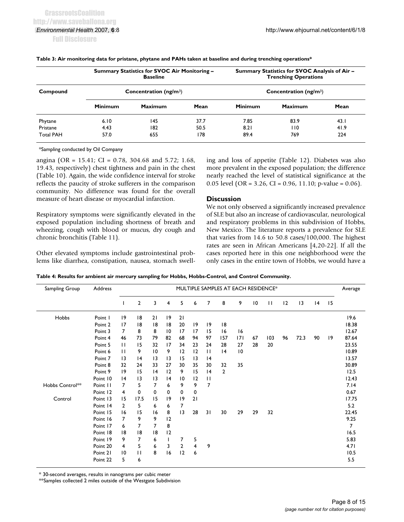|                  |                | Summary Statistics for SVOC Air Monitoring -<br><b>Baseline</b> |      | Summary Statistics for SVOC Analysis of Air -<br><b>Trenching Operations</b> |                |      |  |  |  |
|------------------|----------------|-----------------------------------------------------------------|------|------------------------------------------------------------------------------|----------------|------|--|--|--|
| Compound         |                | Concentration ( $ng/m3$ )                                       |      | Concentration ( $ng/m3$ )                                                    |                |      |  |  |  |
|                  | <b>Minimum</b> | <b>Maximum</b>                                                  | Mean | <b>Minimum</b>                                                               | <b>Maximum</b> | Mean |  |  |  |
| Phytane          | 6.10           | 145                                                             | 37.7 | 7.85                                                                         | 83.9           | 43.1 |  |  |  |
| Pristane         | 4.43           | 182                                                             | 50.5 | 8.21                                                                         | 110            | 41.9 |  |  |  |
| <b>Total PAH</b> | 57.0           | 655                                                             | 178  | 89.4                                                                         | 769            | 224  |  |  |  |

**Table 3: Air monitoring data for pristane, phytane and PAHs taken at baseline and during trenching operations\***

\*Sampling conducted by Oil Company

angina (OR = 15.41; CI = 0.78, 304.68 and 5.72; 1.68, 19.43, respectively) chest tightness and pain in the chest (Table 10). Again, the wide confidence interval for stroke reflects the paucity of stroke sufferers in the comparison community. No difference was found for the overall measure of heart disease or myocardial infarction.

Respiratory symptoms were significantly elevated in the exposed population including shortness of breath and wheezing, cough with blood or mucus, dry cough and chronic bronchitis (Table 11).

Other elevated symptoms include gastrointestinal problems like diarrhea, constipation, nausea, stomach swelling and loss of appetite (Table 12). Diabetes was also more prevalent in the exposed population; the difference nearly reached the level of statistical significance at the 0.05 level (OR =  $3.26$ , CI = 0.96, 11.10; p-value = 0.06).

#### **Discussion**

We not only observed a significantly increased prevalence of SLE but also an increase of cardiovascular, neurological and respiratory problems in this subdivision of Hobbs, New Mexico. The literature reports a prevalence for SLE that varies from 14.6 to 50.8 cases/100,000. The highest rates are seen in African Americans [4,20-22]. If all the cases reported here in this one neighborhood were the only cases in the entire town of Hobbs, we would have a

| Table 4: Results for ambient air mercury sampling for Hobbs, Hobbs-Control, and Control Community. |  |
|----------------------------------------------------------------------------------------------------|--|
|----------------------------------------------------------------------------------------------------|--|

| Sampling Group  | Address            | MULTIPLE SAMPLES AT EACH RESIDENCE* |                 |                 |                 |              |    | Average        |                |                 |    |              |    |      |    |    |       |
|-----------------|--------------------|-------------------------------------|-----------------|-----------------|-----------------|--------------|----|----------------|----------------|-----------------|----|--------------|----|------|----|----|-------|
|                 |                    |                                     | $\overline{2}$  | 3               | $\overline{4}$  | 5            | 6  | $\overline{7}$ | 8              | 9               | 10 | $\mathbf{H}$ | 12 | 13   | 4  | 15 |       |
| Hobbs           | Point I            | 9                                   | 8               | 21              | 9               | 21           |    |                |                |                 |    |              |    |      |    |    | 19.6  |
|                 | Point 2            | 17                                  | 18              | 8               | 8               | 20           | 19 | 19             | 18             |                 |    |              |    |      |    |    | 18.38 |
|                 | Point 3            | 7                                   | 8               | 8               | $\overline{10}$ | 17           | 17 | 15             | 16             | 16              |    |              |    |      |    |    | 12.67 |
|                 | Point 4            | 46                                  | 73              | 79              | 82              | 68           | 94 | 97             | 157            | 7               | 67 | 103          | 96 | 72.3 | 90 | 19 | 87.64 |
|                 | Point 5            | $\mathbf{H}$                        | 15              | 32              | 17              | 34           | 23 | 24             | 28             | 27              | 28 | 20           |    |      |    |    | 23.55 |
|                 | Point 6            | $\mathbf{H}$                        | 9               | $\overline{10}$ | 9               | 12           | 12 | $\mathbf{H}$   | 4              | $\overline{10}$ |    |              |    |      |    |    | 10.89 |
|                 | Point 7            | $\overline{13}$                     | 4               | $\overline{13}$ | $\overline{13}$ | 15           | 13 | 4              |                |                 |    |              |    |      |    |    | 13.57 |
|                 | Point <sub>8</sub> | 32                                  | 24              | 33              | 27              | 30           | 35 | 30             | 32             | 35              |    |              |    |      |    |    | 30.89 |
|                 | Point 9            | 19                                  | 15              | 4               | 12              | 9            | 15 | 4              | $\overline{2}$ |                 |    |              |    |      |    |    | 12.5  |
|                 | Point 10           | 4                                   | $\overline{13}$ | $\overline{13}$ | 4               | 10           | 12 | $\mathbf{H}$   |                |                 |    |              |    |      |    |    | 12.43 |
| Hobbs Control** | Point 11           | 7                                   | 5               | 7               | 6               | 9            | 9  | 7              |                |                 |    |              |    |      |    |    | 7.14  |
|                 | Point 12           | 4                                   | 0               | 0               | 0               | 0            | 0  |                |                |                 |    |              |    |      |    |    | 0.67  |
| Control         | Point 13           | 15                                  | 17.5            | 15              | 9               | 9            | 21 |                |                |                 |    |              |    |      |    |    | 17.75 |
|                 | Point 14           | $\overline{2}$                      | 5               | 6               | 6               | 7            |    |                |                |                 |    |              |    |      |    |    | 5.2   |
|                 | Point 15           | 16                                  | 15              | 16              | 8               | 13           | 28 | 31             | 30             | 29              | 29 | 32           |    |      |    |    | 22.45 |
|                 | Point 16           | $\overline{7}$                      | 9               | 9               | 12              |              |    |                |                |                 |    |              |    |      |    |    | 9.25  |
|                 | Point 17           | 6                                   | 7               | 7               | 8               |              |    |                |                |                 |    |              |    |      |    |    | 7     |
|                 | Point 18           | 18                                  | 18              | 8               | 12              |              |    |                |                |                 |    |              |    |      |    |    | 16.5  |
|                 | Point 19           | 9                                   | 7               | 6               |                 | 7            | 5  |                |                |                 |    |              |    |      |    |    | 5.83  |
|                 | Point 20           | 4                                   | 5               | 6               | 3               | $\mathbf{2}$ | 4  | 9              |                |                 |    |              |    |      |    |    | 4.71  |
|                 | Point 21           | $\overline{10}$                     | $\mathbf{H}$    | 8               | 6               | $ 2\rangle$  | 6  |                |                |                 |    |              |    |      |    |    | 10.5  |
|                 | Point 22           | 5                                   | 6               |                 |                 |              |    |                |                |                 |    |              |    |      |    |    | 5.5   |

\* 30-second averages, results in nanograms per cubic meter

\*\*Samples collected 2 miles outside of the Westgate Subdivision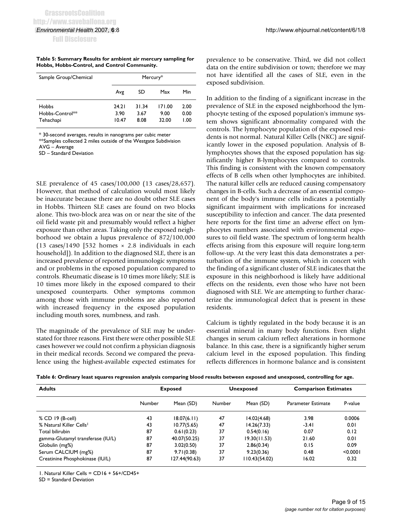**Table 5: Summary Results for ambient air mercury sampling for Hobbs, Hobbs-Control, and Control Community.**

| Sample Group/Chemical                             | Mercury*               |                       |                         |                      |  |
|---------------------------------------------------|------------------------|-----------------------|-------------------------|----------------------|--|
|                                                   | Avg                    | SD                    | Max                     | Min                  |  |
| Hobbs<br>Hobbs-Control <sup>**</sup><br>Tehachapi | 24.21<br>3.90<br>10.47 | 31.34<br>3.67<br>8.08 | 171.00<br>9.00<br>32.00 | 2.00<br>0.00<br>1.00 |  |

\* 30-second averages, results in nanograms per cubic meter

\*\*Samples collected 2 miles outside of the Westgate Subdivision

AVG – Average

SD – Standard Deviation

SLE prevalence of 45 cases/100,000 (13 cases/28,657). However, that method of calculation would most likely be inaccurate because there are no doubt other SLE cases in Hobbs. Thirteen SLE cases are found on two blocks alone. This two-block area was on or near the site of the oil field waste pit and presumably would reflect a higher exposure than other areas. Taking only the exposed neighborhood we obtain a lupus prevalence of 872/100,000 (13 cases/1490 [532 homes  $\times$  2.8 individuals in each household]). In addition to the diagnosed SLE, there is an increased prevalence of reported immunologic symptoms and or problems in the exposed population compared to controls. Rheumatic disease is 10 times more likely; SLE is 10 times more likely in the exposed compared to their unexposed counterparts. Other symptoms common among those with immune problems are also reported with increased frequency in the exposed population including mouth sores, numbness, and rash.

The magnitude of the prevalence of SLE may be understated for three reasons. First there were other possible SLE cases however we could not confirm a physician diagnosis in their medical records. Second we compared the prevalence using the highest-available expected estimates for prevalence to be conservative. Third, we did not collect data on the entire subdivision or town; therefore we may not have identified all the cases of SLE, even in the exposed subdivision.

In addition to the finding of a significant increase in the prevalence of SLE in the exposed neighborhood the lymphocyte testing of the exposed population's immune system shows significant abnormality compared with the controls. The lymphocyte population of the exposed residents is not normal. Natural Killer Cells (NKC) are significantly lower in the exposed population. Analysis of Blymphocytes shows that the exposed population has significantly higher B-lymphocytes compared to controls. This finding is consistent with the known compensatory effects of B cells when other lymphocytes are inhibited. The natural killer cells are reduced causing compensatory changes in B-cells. Such a decrease of an essential component of the body's immune cells indicates a potentially significant impairment with implications for increased susceptibility to infection and cancer. The data presented here reports for the first time an adverse effect on lymphocytes numbers associated with environmental exposures to oil field waste. The spectrum of long-term health effects arising from this exposure will require long-term follow-up. At the very least this data demonstrates a perturbation of the immune system, which in concert with the finding of a significant cluster of SLE indicates that the exposure in this neighborhood is likely have additional effects on the residents, even those who have not been diagnosed with SLE. We are attempting to further characterize the immunological defect that is present in these residents.

Calcium is tightly regulated in the body because it is an essential mineral in many body functions. Even slight changes in serum calcium reflect alterations in hormone balance. In this case, there is a significantly higher serum calcium level in the exposed population. This finding reflects differences in hormone balance and is consistent

| Table 6: Ordinary least squares regression analysis comparing blood results between exposed and unexposed, controlling for age. |  |
|---------------------------------------------------------------------------------------------------------------------------------|--|
|---------------------------------------------------------------------------------------------------------------------------------|--|

| <b>Adults</b>                       | <b>Exposed</b> |               |        | <b>Unexposed</b> | <b>Comparison Estimates</b> |          |  |
|-------------------------------------|----------------|---------------|--------|------------------|-----------------------------|----------|--|
|                                     | Number         | Mean (SD)     | Number | Mean (SD)        | Parameter Estimate          | P-value  |  |
| % CD 19 (B-cell)                    | 43             | 18.07(6.11)   | 47     | 14.02(4.68)      | 3.98                        | 0.0006   |  |
| % Natural Killer Cells <sup>1</sup> | 43             | 10.77(5.65)   | 47     | 14.26(7.33)      | $-3.41$                     | 0.01     |  |
| Total bilirubin                     | 87             | 0.61(0.23)    | 37     | 0.54(0.16)       | 0.07                        | 0.12     |  |
| gamma-Glutamyl transferase (IU/L)   | 87             | 40.07(50.25)  | 37     | 19.30(11.53)     | 21.60                       | 0.01     |  |
| Globulin (mg%)                      | 87             | 3.02(0.50)    | 37     | 2.86(0.34)       | 0.15                        | 0.09     |  |
| Serum CALCIUM (mg%)                 | 87             | 9.71(0.38)    | 37     | 9.23(0.36)       | 0.48                        | < 0.0001 |  |
| Creatinine Phosphokinase (IU/L)     | 87             | 127.44(90.63) | 37     | 110.43(54.02)    | 16.02                       | 0.32     |  |

1. Natural Killer Cells = CD16 + 56+/CD45+

SD = Standard Deviation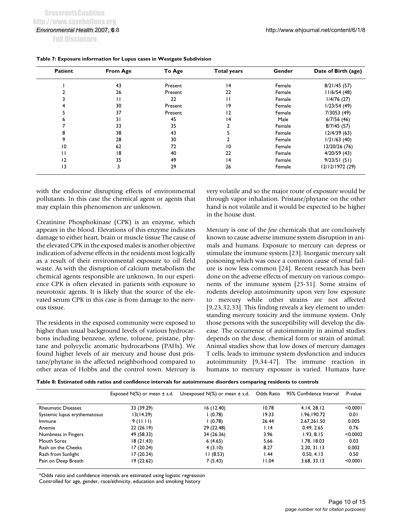Full Disclosure

| <b>Patient</b> | <b>From Age</b> | To Age  | <b>Total years</b> | Gender | Date of Birth (age) |
|----------------|-----------------|---------|--------------------|--------|---------------------|
|                | 43              | Present | 4                  | Female | 8/21/45(57)         |
|                | 26              | Present | 22                 | Female | 11/6/54(48)         |
|                | $\mathbf{H}$    | 22      | П                  | Female | 1/4/76(27)          |
|                | 30              | Present | 19                 | Female | 1/23/54(49)         |
|                | 37              | Present | 12                 | Female | 7/3053 (49)         |
| <b>D</b>       | 31              | 45      | 14                 | Male   | 6/7/56(46)          |
|                | 33              | 35      |                    | Female | 8/7/45(57)          |
| 8              | 38              | 43      |                    | Female | 12/4/39(63)         |
| 9              | 28              | 30      |                    | Female | $1/21/63$ (40)      |
| 10             | 62              | 72      | 10                 | Female | 12/20/26 (76)       |
| П              | 18              | 40      | 22                 | Female | 4/20/59(43)         |
| 12             | 35              | 49      | 14                 | Female | 9/23/51(51)         |
| 13             | 3               | 29      | 26                 | Female | 12/12/1972 (29)     |

| Table 7: Exposure information for Lupus cases in Westgate Subdivision |  |  |  |
|-----------------------------------------------------------------------|--|--|--|
|-----------------------------------------------------------------------|--|--|--|

with the endocrine disrupting effects of environmental pollutants. In this case the chemical agent or agents that may explain this phenomenon are unknown.

Creatinine Phosphokinase (CPK) is an enzyme, which appears in the blood. Elevations of this enzyme indicates damage to either heart, brain or muscle tissue The cause of the elevated CPK in the exposed males is another objective indication of adverse effects in the residents most logically as a result of their environmental exposure to oil field waste. As with the disruption of calcium metabolism the chemical agents responsible are unknown. In our experience CPK is often elevated in patients with exposure to neurotoxic agents. It is likely that the source of the elevated serum CPK in this case is from damage to the nervous tissue.

The residents in the exposed community were exposed to higher than usual background levels of various hydrocarbons including benzene, xylene, toluene, pristane, phytane and polycyclic aromatic hydrocarbons (PAHs). We found higher levels of air mercury and house dust pristane/phytane in the affected neighborhood compared to other areas of Hobbs and the control town. Mercury is very volatile and so the major route of exposure would be through vapor inhalation. Pristane/phytane on the other hand is not volatile and it would be expected to be higher in the house dust.

Mercury is one of the *few* chemicals that are conclusively known to cause adverse immune system disruption in animals and humans. Exposure to mercury can depress or stimulate the immune system [23]. Inorganic mercury salt poisoning which was once a common cause of renal failure is now less common [24]. Recent research has been done on the adverse effects of mercury on various components of the immune system [25-31]. Some strains of rodents develop autoimmunity upon very low exposure to mercury while other strains are not affected [9,23,32,33]. This finding reveals a key element to understanding mercury toxicity and the immune system. Only those persons with the susceptibility will develop the disease. The occurrence of autoimmunity in animal studies depends on the dose, chemical form or strain of animal. Animal studies show that low doses of mercury damages T cells, leads to immune system dysfunction and induces autoimmunity [9,34-47]. The immune reaction in humans to mercury exposure is varied. Humans have

|                              | Exposed $N(\%)$ or mean $\pm$ s.d. | Unexposed $N(\%)$ or mean $\pm$ s.d. | Odds Ratio | 95% Confidence Interval | P-value  |
|------------------------------|------------------------------------|--------------------------------------|------------|-------------------------|----------|
| <b>Rheumatic Diseases</b>    | 33 (39.29)                         | 16 (12.40)                           | 10.78      | 4.14.28.12              | < 0.0001 |
| Systemic lupus erythematosus | 13(14.29)                          | (0.78)                               | 19.33      | 1.96.190.72             | 0.01     |
| Immune                       | 9(11.11)                           | (0.78)                               | 26.44      | 2.67.261.50             | 0.005    |
| Anemia                       | 22(26.19)                          | 29 (22.48)                           | 1.14       | 0.49, 2.65              | 0.76     |
| Numbness in Fingers          | 49 (58.33)                         | 34 (26.36)                           | 3.96       | 1.93, 8.15              | < 0.0002 |
| Mouth Sores                  | 18(21.43)                          | 6(4.65)                              | 5.66       | 1.78, 18.03             | 0.03     |
| Rash on the Cheeks           | 17 (20.24)                         | 4(3.10)                              | 8.27       | 2.20, 31.13             | 0.002    |
| Rash from Sunlight           | 17 (20.24)                         | 11(8.53)                             | 1.44       | 0.50, 4.13              | 0.50     |
| Pain on Deep Breath          | 19 (22.62)                         | 7(5.43)                              | 11.04      | 3.68, 33.13             | < 0.0001 |

\*Odds ratio and confidence intervals are estimated using logistic regression

Controlled for age, gender, race/ethnicity, education and smoking history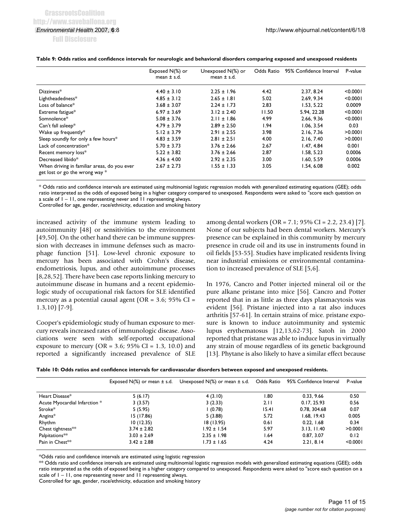### **GrassrootsCoalition** http://www.saveballona.org

#### Environmental Health 2007, 6:8

Full Disclosure

|                                                                               | Exposed N(%) or<br>mean $\pm$ s.d. | Unexposed $N(\%)$ or<br>mean $\pm$ s.d. | Odds Ratio | 95% Confidence Interval | P-value  |
|-------------------------------------------------------------------------------|------------------------------------|-----------------------------------------|------------|-------------------------|----------|
| Dizziness*                                                                    | $4.40 \pm 3.10$                    | $2.25 \pm 1.96$                         | 4.42       | 2.37, 8.24              | < 0.0001 |
| Lightheadedness*                                                              | $4.85 \pm 3.12$                    | $2.65 \pm 1.81$                         | 5.02       | 2.69, 9.34              | < 0.0001 |
| Loss of balance $*$                                                           | $3.68 \pm 3.07$                    | $2.24 \pm 1.73$                         | 2.83       | 1.53, 5.22              | 0.0009   |
| Extreme fatigue*                                                              | $6.97 \pm 3.69$                    | $3.12 \pm 2.40$                         | 11.50      | 5.94, 22.28             | < 0.0001 |
| Somnolence*                                                                   | $5.08 \pm 3.76$                    | $2.11 \pm 1.86$                         | 4.99       | 2.66, 9.36              | < 0.0001 |
| Can't fall asleep*                                                            | $4.79 \pm 3.79$                    | $2.89 \pm 2.50$                         | l.94       | 1.06.3.54               | 0.03     |
| Wake up frequently*                                                           | $5.12 \pm 3.79$                    | $2.91 \pm 2.55$                         | 3.98       | 2.16, 7.36              | >0.0001  |
| Sleep soundly for only a few hours*                                           | $4.83 \pm 3.59$                    | $2.81 \pm 2.51$                         | 4.00       | 2.16, 7.40              | >0.0001  |
| Lack of concentration*                                                        | $5.70 \pm 3.73$                    | $3.76 \pm 2.66$                         | 2.67       | 1.47.4.84               | 0.001    |
| Recent memory loss*                                                           | $5.22 \pm 3.82$                    | $3.76 \pm 2.66$                         | 2.87       | 1.58.5.23               | 0.0006   |
| Decreased libido*                                                             | $4.36 \pm 4.00$                    | $2.92 \pm 2.35$                         | 3.00       | 1.60, 5.59              | 0.0006   |
| When driving in familiar areas, do you ever<br>get lost or go the wrong way * | $2.67 \pm 2.73$                    | $1.55 \pm 1.33$                         | 3.05       | 1.54, 6.08              | 0.002    |

|  |  |  | Table 9: Odds ratios and confidence intervals for neurologic and behavioral disorders comparing exposed and unexposed residents |  |
|--|--|--|---------------------------------------------------------------------------------------------------------------------------------|--|
|--|--|--|---------------------------------------------------------------------------------------------------------------------------------|--|

\* Odds ratio and confidence intervals are estimated using multinomial logistic regression models with generalized estimating equations (GEE); odds ratio interpreted as the odds of exposed being in a higher category compared to unexposed. Respondents were asked to "score each question on a scale of 1 – 11, one representing never and 11 representing always.

Controlled for age, gender, race/ethnicity, education and smoking history

increased activity of the immune system leading to autoimmunity [48] or sensitivities to the environment [49,50]. On the other hand there can be immune suppression with decreases in immune defenses such as macrophage function [51]. Low-level chronic exposure to mercury has been associated with Crohn's disease, endometriosis, lupus, and other autoimmune processes [8,28,52]. There have been case reports linking mercury to autoimmune disease in humans and a recent epidemiologic study of occupational risk factors for SLE identified mercury as a potential causal agent ( $OR = 3.6$ ; 95% CI = 1.3,10) [7-9].

Cooper's epidemiologic study of human exposure to mercury reveals increased rates of immunologic disease. Associations were seen with self-reported occupational exposure to mercury (OR = 3.6; 95% CI = 1.3, 10.0) and reported a significantly increased prevalence of SLE among dental workers (OR = 7.1; 95% CI = 2.2, 23.4) [7]. None of our subjects had been dental workers. Mercury's presence can be explained in this community by mercury presence in crude oil and its use in instruments found in oil fields [53-55]. Studies have implicated residents living near industrial emissions or environmental contamination to increased prevalence of SLE [5,6].

In 1976, Cancro and Potter injected mineral oil or the pure alkane pristane into mice [56]. Cancro and Potter reported that in as little as three days plasmacytosis was evident [56]. Pristane injected into a rat also induces arthritis [57-61]. In certain strains of mice. pristane exposure is known to induce autoimmunity and systemic lupus erythematosus [12,13,62-73]. Satoh in 2000 reported that pristane was able to induce lupus in virtually any strain of mouse regardless of its genetic background [13]. Phytane is also likely to have a similar effect because

| Table 10: Odds ratios and confidence intervals for cardiovascular disorders between exposed and unexposed residents. |  |  |  |  |
|----------------------------------------------------------------------------------------------------------------------|--|--|--|--|
|                                                                                                                      |  |  |  |  |

|                               | Exposed $N(\%)$ or mean $\pm$ s.d. | Unexposed $N(\%)$ or mean $\pm$ s.d. | Odds Ratio | 95% Confidence Interval | P-value  |
|-------------------------------|------------------------------------|--------------------------------------|------------|-------------------------|----------|
| Heart Disease*                | 5(6.17)                            | 4(3.10)                              | 1.80       | 0.33, 9.66              | 0.50     |
| Acute Myocardial Infarction * | 3(3.57)                            | 3(2.33)                              | 2.11       | 0.17, 25.93             | 0.56     |
| Stroke*                       | 5(5.95)                            | (0.78)                               | 15.41      | 0.78, 304.68            | 0.07     |
| Angina*                       | 15(17.86)                          | 5(3.88)                              | 5.72       | 1.68, 19.43             | 0.005    |
| Rhythm                        | 10(12.35)                          | 18(13.95)                            | 0.61       | 0.22.168                | 0.34     |
| Chest tightness <sup>**</sup> | $3.74 \pm 2.82$                    | $1.92 \pm 1.54$                      | 5.97       | 3.13, 11.40             | >0.0001  |
| Palpitations**                | $3.03 \pm 2.69$                    | $2.35 \pm 1.98$                      | l.64       | 0.87, 3.07              | 0.12     |
| Pain in Chest**               | $3.42 \pm 2.88$                    | $1.73 \pm 1.65$                      | 4.24       | 2.21, 8.14              | < 0.0001 |

\*Odds ratio and confidence intervals are estimated using logistic regression

\*\* Odds ratio and confidence intervals are estimated using multinomial logistic regression models with generalized estimating equations (GEE); odds ratio interpreted as the odds of exposed being in a higher category compared to unexposed. Respondents were asked to "score each question on a scale of 1 – 11, one representing never and 11 representing always.

Controlled for age, gender, race/ethnicity, education and smoking history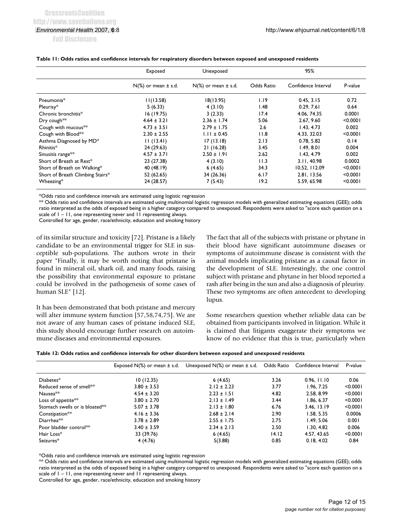Full Disclosure

|                                  | Exposed                    | Unexposed                  |            | 95%                 |          |
|----------------------------------|----------------------------|----------------------------|------------|---------------------|----------|
|                                  | $N(\%)$ or mean $\pm$ s.d. | $N(\%)$ or mean $\pm$ s.d. | Odds Ratio | Confidence Interval | P-value  |
| Pneumonia <sup>*</sup>           | 11(13.58)                  | 18(13.95)                  | 1.19       | 0.45, 3.15          | 0.72     |
| Pleurisy*                        | 5(6.33)                    | 4(3.10)                    | 1.48       | 0.29, 7.61          | 0.64     |
| Chronic bronchitis*              | 16 (19.75)                 | 3(2.33)                    | 17.4       | 4.06, 74.35         | 0.0001   |
| Dry cough $**$                   | $4.64 \pm 3.21$            | $2.36 \pm 1.74$            | 5.06       | 2.67, 9.60          | < 0.0001 |
| Cough with mucous <sup>**</sup>  | $4.73 \pm 3.51$            | $2.79 \pm 1.75$            | 2.6        | 1.43.4.73           | 0.002    |
| Cough with Blood**               | $2.30 \pm 2.55$            | $1.11 \pm 0.45$            | 11.8       | 4.33, 32.03         | < 0.0001 |
| Asthma Diagnosed by MD*          | 11(13.41)                  | 17(13.18)                  | 2.13       | 0.78, 5.82          | 0.14     |
| Rhinitis*                        | 24(29.63)                  | 21(16.28)                  | 3.45       | 1.49.8.01           | 0.004    |
| Sinusitis range <sup>**</sup>    | $4.57 \pm 3.71$            | $2.50 \pm 1.91$            | 2.62       | 1.43, 4.79          | 0.002    |
| Short of Breath at Rest*         | 23 (27.38)                 | 4(3.10)                    | 11.3       | 3.II, 40.98         | 0.0002   |
| Short of Breath on Walking*      | 40 (48.19)                 | 6(4.65)                    | 34.3       | 10.52, 112.09       | < 0.0001 |
| Short of Breath Climbing Stairs* | 52 (62.65)                 | 34 (26.36)                 | 6.17       | 2.81, 13.56         | < 0.0001 |
| Wheezing*                        | 24 (28.57)                 | 7(5.43)                    | 19.2       | 5.59, 65.98         | < 0.0001 |

\*Odds ratio and confidence intervals are estimated using logistic regression

\*\* Odds ratio and confidence intervals are estimated using multinomial logistic regression models with generalized estimating equations (GEE); odds ratio interpreted as the odds of exposed being in a higher category compared to unexposed. Respondents were asked to "score each question on a scale of 1 – 11, one representing never and 11 representing always.

Controlled for age, gender, race/ethnicity, education and smoking history

of its similar structure and toxicity [72]. Pristane is a likely candidate to be an environmental trigger for SLE in susceptible sub-populations. The authors wrote in their paper "Finally, it may be worth noting that pristane is found in mineral oil, shark oil, and many foods, raising the possibility that environmental exposure to pristane could be involved in the pathogenesis of some cases of human SLE" [12].

It has been demonstrated that both pristane and mercury will alter immune system function [57,58,74,75]. We are not aware of any human cases of pristane induced SLE, this study should encourage further research on autoimmune diseases and environmental exposures.

The fact that all of the subjects with pristane or phytane in their blood have significant autoimmune diseases or symptoms of autoimmune disease is consistent with the animal models implicating pristane as a causal factor in the development of SLE. Interestingly, the one control subject with pristane and phytane in her blood reported a rash after being in the sun and also a diagnosis of pleurisy. These two symptoms are often antecedent to developing lupus.

Some researchers question whether reliable data can be obtained from participants involved in litigation. While it is claimed that litigants exaggerate their symptoms we know of no evidence that this is true, particularly when

| Table 12: Odds ratios and confidence intervals for other disorders between exposed and unexposed residents |  |  |
|------------------------------------------------------------------------------------------------------------|--|--|
|------------------------------------------------------------------------------------------------------------|--|--|

|                                    | Exposed $N(\%)$ or mean $\pm$ s.d. | Unexposed $N(\%)$ or mean $\pm$ s.d. Odds Ratio |       | Confidence Interval | P-value  |
|------------------------------------|------------------------------------|-------------------------------------------------|-------|---------------------|----------|
| Diabetes*                          | 10(12.35)                          | 6(4.65)                                         | 3.26  | 0.96, 11.10         | 0.06     |
| Reduced sense of smell**           | $3.80 \pm 3.53$                    | $2.12 \pm 2.23$                                 | 3.77  | 1.96.7.25           | < 0.0001 |
| Nausea $**$                        | $4.54 \pm 3.20$                    | $2.23 \pm 1.51$                                 | 4.82  | 2.58, 8.99          | < 0.0001 |
| Loss of appetite $**$              | $3.80 \pm 2.70$                    | $2.13 \pm 1.49$                                 | 3.44  | 1.86, 6.37          | < 0.0001 |
| Stomach swells or is bloated**     | $5.07 \pm 3.78$                    | $2.13 \pm 1.80$                                 | 6.76  | 3.46, 13.19         | < 0.0001 |
| Constipation**                     | $4.16 \pm 3.36$                    | $2.68 \pm 2.14$                                 | 2.90  | 1.58.5.35           | 0.0006   |
| $Diar$ rhea $**$                   | $3.78 \pm 2.89$                    | $2.55 \pm 1.75$                                 | 2.75  | 1.49.5.06           | 0.001    |
| Poor bladder control <sup>**</sup> | $3.40 \pm 3.59$                    | $2.34 \pm 2.13$                                 | 2.50  | 1.30, 4.82          | 0.006    |
| Hair Loss*                         | 33 (39.76)                         | 6(4.65)                                         | 14.12 | 4.57, 43.65         | < 0.0001 |
| Seizures*                          | 4(4.76)                            | 5(3.88)                                         | 0.85  | 0.18, 4.02          | 0.84     |

\*Odds ratio and confidence intervals are estimated using logistic regression

\*\* Odds ratio and confidence intervals are estimated using multinomial logistic regression models with generalized estimating equations (GEE); odds ratio interpreted as the odds of exposed being in a higher category compared to unexposed. Respondents were asked to "score each question on a scale of  $1 - 11$ , one representing never and  $11$  representing always.

Controlled for age, gender, race/ethnicity, education and smoking history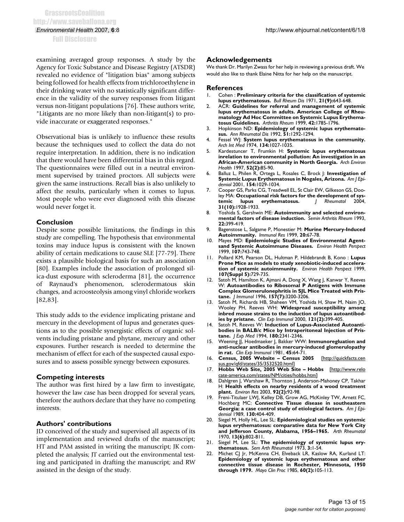**GrassrootsCoalition** http://www.saveballona.org

Environmental Health 2007, 6:8

Full Disclosure

examining averaged group responses. A study by the Agency for Toxic Substance and Disease Registry (ATSDR) revealed no evidence of "litigation bias" among subjects being followed for health effects from trichloroethylene in their drinking water with no statistically significant difference in the validity of the survey responses from litigant versus non-litigant populations [76]. These authors write, "Litigants are no more likely than non-litigant(s) to provide inaccurate or exaggerated responses."

Observational bias is unlikely to influence these results because the techniques used to collect the data do not require interpretation. In addition, there is no indication that there would have been differential bias in this regard. The questionnaires were filled out in a neutral environment supervised by trained proctors. All subjects were given the same instructions. Recall bias is also unlikely to affect the results, particularly when it comes to lupus. Most people who were ever diagnosed with this disease would never forget it.

#### **Conclusion**

Despite some possible limitations, the findings in this study are compelling. The hypothesis that environmental toxins may induce lupus is consistent with the known ability of certain medications to cause SLE [77-79]. There exists a plausible biological basis for such an association [80]. Examples include the association of prolonged silica-dust exposure with scleroderma [81], the occurrence of Raynaud's phenomenon, sclerodermatous skin changes, and acroosteolysis among vinyl chloride workers [82,83].

This study adds to the evidence implicating pristane and mercury in the development of lupus and generates questions as to the possible synergistic effects of organic solvents including pristane and phytane, mercury and other exposures. Further research is needed to determine the mechanism of effect for each of the suspected causal exposures and to assess possible synergy between exposures.

#### **Competing interests**

The author was first hired by a law firm to investigate, however the law case has been dropped for several years, therefore the authors declare that they have no competing interests.

#### **Authors' contributions**

JD conceived of the study and supervised all aspects of its implementation and reviewed drafts of the manuscript; HT and PAM assisted in writing the manuscript; JK completed the analysis; JT carried out the environmental testing and participated in drafting the manuscript; and RW assisted in the design of the study.

#### **Acknowledgements**

We thank Dr. Marilyn Zwass for her help in reviewing a previous draft. We would also like to thank Elaine Nitta for her help on the manuscript.

#### **References**

- 1. Cohen : **Preliminary criteria for the classification of systemic lupus erythematosus.** *Bull Rheum Dis* 1971, **21(9):**643-648.
- 2. ACR: **[Guidelines for referral and management of systemic](http://www.ncbi.nlm.nih.gov/entrez/query.fcgi?cmd=Retrieve&db=PubMed&dopt=Abstract&list_uids=10513791) lupus erythematosus in adults. American College of Rheu[matology Ad Hoc Committee on Systemic Lupus Erythema](http://www.ncbi.nlm.nih.gov/entrez/query.fcgi?cmd=Retrieve&db=PubMed&dopt=Abstract&list_uids=10513791)[tosus Guidelines.](http://www.ncbi.nlm.nih.gov/entrez/query.fcgi?cmd=Retrieve&db=PubMed&dopt=Abstract&list_uids=10513791)** *Arthritis Rheum* 1999, **42:**1785-1796.
- 3. Hopkinson ND: **Epidemiology of systemic lupus erythematosus.** *Ann Rheumatol Dis* 1992, **51:**1292-1294.
- 4. Fessel WJ: **System lupus erythematosus in the community.** *Arch Int Med* 1974, **134:**1027-1035.
- 5. Kardestuncer T, Frumkin H: **[Systemic lupus erythematosus](http://www.ncbi.nlm.nih.gov/entrez/query.fcgi?cmd=Retrieve&db=PubMed&dopt=Abstract&list_uids=9124880) [inrelation to environmental pollution: An investigation in an](http://www.ncbi.nlm.nih.gov/entrez/query.fcgi?cmd=Retrieve&db=PubMed&dopt=Abstract&list_uids=9124880) [African-American community in North Georgia.](http://www.ncbi.nlm.nih.gov/entrez/query.fcgi?cmd=Retrieve&db=PubMed&dopt=Abstract&list_uids=9124880)** *Arch Environ Health* 1997, **52(2):**85-90.
- 6. Balluz L, Philen R, Ortega L, Rosales C, Brock J: **[Investigation of](http://www.ncbi.nlm.nih.gov/entrez/query.fcgi?cmd=Retrieve&db=PubMed&dopt=Abstract&list_uids=11724719) [Systemic Lupus Erythematosus in Nogales, Arizona.](http://www.ncbi.nlm.nih.gov/entrez/query.fcgi?cmd=Retrieve&db=PubMed&dopt=Abstract&list_uids=11724719)** *Am J Epidemiol* 2001, **154:**1029-1034.
- 7. Cooper GS, Parks CG, Treadwell EL, St Clair EW, Gilkeson GS, Dooley MA: **[Occupational risk factors for the development of sys](http://www.ncbi.nlm.nih.gov/entrez/query.fcgi?cmd=Retrieve&db=PubMed&dopt=Abstract&list_uids=15468355)** $e$ rythematosus. **31(10):**1928-1933.
- 8. Yoshida S, Gershwin ME: **[Autoimmunity and selected environ](http://www.ncbi.nlm.nih.gov/entrez/query.fcgi?cmd=Retrieve&db=PubMed&dopt=Abstract&list_uids=8342047)[mental factors of disease induction.](http://www.ncbi.nlm.nih.gov/entrez/query.fcgi?cmd=Retrieve&db=PubMed&dopt=Abstract&list_uids=8342047)** *Semin Arthritis Rheum* 1993, **22:**399-419.
- 9. Bagenstose L, Salgame P, Monestier M: **[Murine Mercury-Induced](http://www.ncbi.nlm.nih.gov/entrez/query.fcgi?cmd=Retrieve&db=PubMed&dopt=Abstract&list_uids=10467984) [Autoimmunity.](http://www.ncbi.nlm.nih.gov/entrez/query.fcgi?cmd=Retrieve&db=PubMed&dopt=Abstract&list_uids=10467984)** *Immunol Res* 1999, **20:**67-78.
- 10. Mayes MD: **[Epidemiologic Studies of Environmental Agent](http://www.ncbi.nlm.nih.gov/entrez/query.fcgi?cmd=Retrieve&db=PubMed&dopt=Abstract&list_uids=10502540)[sand Systemic Autoimmune Diseases.](http://www.ncbi.nlm.nih.gov/entrez/query.fcgi?cmd=Retrieve&db=PubMed&dopt=Abstract&list_uids=10502540)** *Environ Health Perspect* 1999, **107:**743-748.
- 11. Pollard KM, Pearson DL, Hultman P, Hildebrandt B, Kono : **[Lupus](http://www.ncbi.nlm.nih.gov/entrez/query.fcgi?cmd=Retrieve&db=PubMed&dopt=Abstract&list_uids=10502538) [Prone Mice as models to study xenobiotic-induced accelera](http://www.ncbi.nlm.nih.gov/entrez/query.fcgi?cmd=Retrieve&db=PubMed&dopt=Abstract&list_uids=10502538)[tion of systemic autoimmunity.](http://www.ncbi.nlm.nih.gov/entrez/query.fcgi?cmd=Retrieve&db=PubMed&dopt=Abstract&list_uids=10502538)** *Environ Health Perspect* 1999, **107(Suppl 5):**729-735.
- 12. Satoh M, Hamilton K, Ajmani A, Dong X, Wang J, Kanwar Y, Reeves W: **[Autoantibodies to Ribosomal P Antigens with Immune](http://www.ncbi.nlm.nih.gov/entrez/query.fcgi?cmd=Retrieve&db=PubMed&dopt=Abstract&list_uids=8816434) [Complex Glomerulonephritis in SJL Mice Treated with Pris](http://www.ncbi.nlm.nih.gov/entrez/query.fcgi?cmd=Retrieve&db=PubMed&dopt=Abstract&list_uids=8816434)[tane.](http://www.ncbi.nlm.nih.gov/entrez/query.fcgi?cmd=Retrieve&db=PubMed&dopt=Abstract&list_uids=8816434)** *J Immunol* 1996, **157(7):**3200-3206.
- 13. Satoh M, Richards HB, Shaheen VM, Yoshida H, Shaw M, Naim JO, Wooley PH, Reeves WH: **[Widespread susceptibility among](http://www.ncbi.nlm.nih.gov/entrez/query.fcgi?cmd=Retrieve&db=PubMed&dopt=Abstract&list_uids=10931159) [inbred mouse strains to the induction of lupus autoantibod](http://www.ncbi.nlm.nih.gov/entrez/query.fcgi?cmd=Retrieve&db=PubMed&dopt=Abstract&list_uids=10931159)[ies by pristane.](http://www.ncbi.nlm.nih.gov/entrez/query.fcgi?cmd=Retrieve&db=PubMed&dopt=Abstract&list_uids=10931159)** *Clin Exp Immunol* 2000, **121(2):**399-405.
- 14. Satoh M, Reeves W: **[Induction of Lupus-Associated Autoanti](http://www.ncbi.nlm.nih.gov/entrez/query.fcgi?cmd=Retrieve&db=PubMed&dopt=Abstract&list_uids=7964507)[bodies in BALB/c Mice by Intraperitoneal Injection of Pris](http://www.ncbi.nlm.nih.gov/entrez/query.fcgi?cmd=Retrieve&db=PubMed&dopt=Abstract&list_uids=7964507)[tane.](http://www.ncbi.nlm.nih.gov/entrez/query.fcgi?cmd=Retrieve&db=PubMed&dopt=Abstract&list_uids=7964507)** *J Exp Med* 1994, **180:**2341-2346.
- 15. Weening JJ, Hoedmaeker J, Bakker WW: **[Immunoregluation and](http://www.ncbi.nlm.nih.gov/entrez/query.fcgi?cmd=Retrieve&db=PubMed&dopt=Abstract&list_uids=6458435) [anti-nuclear antibodies in mercury-induced glomerulopathy](http://www.ncbi.nlm.nih.gov/entrez/query.fcgi?cmd=Retrieve&db=PubMed&dopt=Abstract&list_uids=6458435) [in rat.](http://www.ncbi.nlm.nih.gov/entrez/query.fcgi?cmd=Retrieve&db=PubMed&dopt=Abstract&list_uids=6458435)** *Clin Exp Immunol* 1981, **45:**64-71.
- 16. **Census, 2005 Website Census 2005** [[http://quickfacts.cen](http://quickfacts.census.gov/qfd/states/35/3532520.html) [sus.gov/qfd/states/35/3532520.html](http://quickfacts.census.gov/qfd/states/35/3532520.html)]
- 17. **Hobbs Web Site, 2005 Web Site Hobbs** [\[http://www.relo](http://www.relocate-america.com/states/NM/cities/hobbs.htm) [cate-america.com/states/NM/cities/hobbs.htm\]](http://www.relocate-america.com/states/NM/cities/hobbs.htm)
- 18. Dahlgren J, Warshaw R, Thornton J, Anderson-Mahoney CP, Takhar H: **[Health effects on nearby residents of a wood treatment](http://www.ncbi.nlm.nih.gov/entrez/query.fcgi?cmd=Retrieve&db=PubMed&dopt=Abstract&list_uids=12854688) [plant.](http://www.ncbi.nlm.nih.gov/entrez/query.fcgi?cmd=Retrieve&db=PubMed&dopt=Abstract&list_uids=12854688)** *Environ Res* 2003, **92(2):**92-98.
- 19. Freni-Titulaer LWJ, Kelley DB, Grow AG, McKinley TW, Arnett FC, Hochberg MC: **[Connective Tissue disease in southeastern](http://www.ncbi.nlm.nih.gov/entrez/query.fcgi?cmd=Retrieve&db=PubMed&dopt=Abstract&list_uids=2787600) [Georgia: a case control study of etiological factors.](http://www.ncbi.nlm.nih.gov/entrez/query.fcgi?cmd=Retrieve&db=PubMed&dopt=Abstract&list_uids=2787600)** *Am J Epidemiol* 1989, **130:**404-409.
- 20. Siegel M, Holly HL, Lee SL: **Epidemiological studies on systemic lupus erythematosus: comparative data for New York City and Jefferson County, Alabama, 1956–1965.** *Arth Rheumatol* 1970, **13(6):**802-811.
- 21. Siegel M, Lee SL: **The epidemiology of systemic lupus erythematosus.** *Sem Arth Rheumatol* 1973, **3:**1-54.
- 22. Michet CJ Jr, McKenna CH, Elveback LR, Kaslow RA, Kurland LT: **Epidemiology of systemic lupus erythematosus and other [connective tissue disease in Rochester, Minnesota, 1950](http://www.ncbi.nlm.nih.gov/entrez/query.fcgi?cmd=Retrieve&db=PubMed&dopt=Abstract&list_uids=3974288) [through 1979.](http://www.ncbi.nlm.nih.gov/entrez/query.fcgi?cmd=Retrieve&db=PubMed&dopt=Abstract&list_uids=3974288)** *Mayo Clin Proc* 1985, **60(2):**105-113.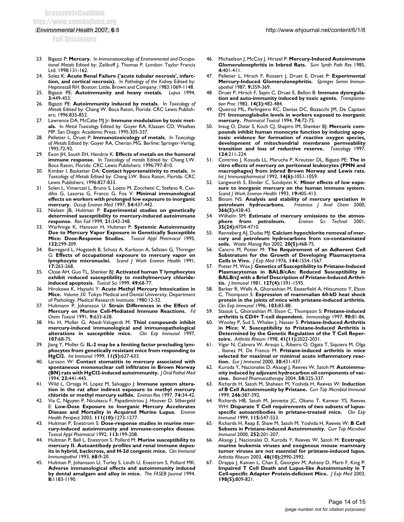**GrassrootsCoalition** http://www.saveballona.org

Full Disclosure

- 23. Bigazzi P: **Mercury.** In *Immunotoxicology of Environmental and Occupational Metals* Edited by: Zelikoff J, Thomas P. London: Taylor Francis Ltd; 1998:131-162.
- 24. Solez K: **Acute Renal Failure ('acute tubular necrosis', infarction, and cortical necrosis).** In *Pathology of the Kidney* Edited by: Heptinstall RH. Boston: Little, Brown and Company; 1983:1069-1148.
- 25. Bigazzi PE: **[Autoimmunity and heavy metals.](http://www.ncbi.nlm.nih.gov/entrez/query.fcgi?cmd=Retrieve&db=PubMed&dopt=Abstract&list_uids=7704000)** *Lupus* 1994, **3:**449-453.
- 26. Bigazzi PE: **Autoimmunity induced by metals.** In *Toxicology of Metals* Edited by: Chang W. Boca Raton, Florida: CRC Lewis Publishers; 1996:835-852.
- 27. Lawrence DA, McCabe MJ Jr: **Immune modulation by toxic metals.** In *Metal Toxicology* Edited by: Goyer RA, Klaasen CD, Waalkes MP. San Diego: Academic Press; 1995:305-337.
- 28. Pelletier L, Druet P: **Immunotoxicology of metals.** In *Toxicology of Metals* Edited by: Goyer RA, Cherian MG. Berline: Springer-Verlag; 1995:72-92.
- 29. Exon JH, South EH, Hendrix K: **Effects of metals on the humoral immune response.** In *Toxicology of metals* Edited by: Chang LW. Boca Raton, Florida: CRC Lewis Publishers; 1996:797-810.
- 30. Kimber I, Basketter DA: **Contact hypersensitivity to metals.** In *Toxicology of Metals* Edited by: Chang LW. Boca Raton, Florida: CRC Lewis Publishers; 1996:827-833.
- 31. Solen L, Vimercati L, Bruno S, Loeto M, Zocchetti C, Stefano R, Candilio G, Lasorsa G, Franco G, Foa V: **[Minimal immunological](http://www.ncbi.nlm.nih.gov/entrez/query.fcgi?cmd=Retrieve&db=PubMed&dopt=Abstract&list_uids=9245951) [effects on workers with prolonged low exposure to inorganic](http://www.ncbi.nlm.nih.gov/entrez/query.fcgi?cmd=Retrieve&db=PubMed&dopt=Abstract&list_uids=9245951) [mercury.](http://www.ncbi.nlm.nih.gov/entrez/query.fcgi?cmd=Retrieve&db=PubMed&dopt=Abstract&list_uids=9245951)** *Occup Environ Med* 1997, **54:**437-442.
- 32. Nielsen JB, Hultman P: **[Experimental studies on genetically](http://www.ncbi.nlm.nih.gov/entrez/query.fcgi?cmd=Retrieve&db=PubMed&dopt=Abstract&list_uids=10416212) [determined susceptibility to mercury-induced autoimmune](http://www.ncbi.nlm.nih.gov/entrez/query.fcgi?cmd=Retrieve&db=PubMed&dopt=Abstract&list_uids=10416212) [response.](http://www.ncbi.nlm.nih.gov/entrez/query.fcgi?cmd=Retrieve&db=PubMed&dopt=Abstract&list_uids=10416212)** *Ren Fail* 1999, **21:**343-348.
- 33. Warfvinge K, Hansson H, Hultman P: **[Systemic Autoimmunity](http://www.ncbi.nlm.nih.gov/entrez/query.fcgi?cmd=Retrieve&db=PubMed&dopt=Abstract&list_uids=7785057) [Due to Mercury Vapor Exposure in Genetically Susceptible](http://www.ncbi.nlm.nih.gov/entrez/query.fcgi?cmd=Retrieve&db=PubMed&dopt=Abstract&list_uids=7785057) [Mice: Dose-Response Studies.](http://www.ncbi.nlm.nih.gov/entrez/query.fcgi?cmd=Retrieve&db=PubMed&dopt=Abstract&list_uids=7785057)** *Toxicol Appl Pharmacol* 1995, **132:**299-309.
- 34. Barregard L, Hogstedt B, Schutz A, Karlsson A, Sallsten G, Thiringer G: **[Effects of occupational exposure to mercury vapor on](http://www.ncbi.nlm.nih.gov/entrez/query.fcgi?cmd=Retrieve&db=PubMed&dopt=Abstract&list_uids=1925438) [lymphocyte micronuclei.](http://www.ncbi.nlm.nih.gov/entrez/query.fcgi?cmd=Retrieve&db=PubMed&dopt=Abstract&list_uids=1925438)** *Scand J Work Environ Health* 1991, **17:**263-268.
- 35. Close AH, Guo TL, Shenker BJ: **[Activated human T lymphocytes](http://www.ncbi.nlm.nih.gov/entrez/query.fcgi?cmd=Retrieve&db=PubMed&dopt=Abstract&list_uids=10367343) [exhibit reduced susceptibility to methylmercury chloride](http://www.ncbi.nlm.nih.gov/entrez/query.fcgi?cmd=Retrieve&db=PubMed&dopt=Abstract&list_uids=10367343)[induced apoptosis.](http://www.ncbi.nlm.nih.gov/entrez/query.fcgi?cmd=Retrieve&db=PubMed&dopt=Abstract&list_uids=10367343)** *Toxicol Sci* 1999, **49:**68-77.
- 36. Hirokawa K, Hayashi Y: **Acute Methyl Mercury Intoxication in Mice.** *Volume 30*. Tokyo Medical and Dental University, Department of Pathology, Medical Research Institute; 1980:12-32.
- 37. Hultmann P, Johansson U: **Strain Differences in the Effect of Mercury on Murine Cell-Mediated Immune Reactions.** *Fd Chem Toxicol* 1991, **9:**633-638.
- 38. Hu H, Moller G, Abedi-Valugerdi M: **[Thiol compounds inhibit](http://www.ncbi.nlm.nih.gov/entrez/query.fcgi?cmd=Retrieve&db=PubMed&dopt=Abstract&list_uids=9010259) [mercury-induced immunological and immunopathological](http://www.ncbi.nlm.nih.gov/entrez/query.fcgi?cmd=Retrieve&db=PubMed&dopt=Abstract&list_uids=9010259)** [alterations in susceptible mice.](http://www.ncbi.nlm.nih.gov/entrez/query.fcgi?cmd=Retrieve&db=PubMed&dopt=Abstract&list_uids=9010259) **107:**68-75.
- 39. Jiang Y, Moller G: **[IL-2 may be a limiting factor precluding lym](http://www.ncbi.nlm.nih.gov/entrez/query.fcgi?cmd=Retrieve&db=PubMed&dopt=Abstract&list_uids=10330268)[phocytes from genetically resistant mice from responding to](http://www.ncbi.nlm.nih.gov/entrez/query.fcgi?cmd=Retrieve&db=PubMed&dopt=Abstract&list_uids=10330268) [HgCl2.](http://www.ncbi.nlm.nih.gov/entrez/query.fcgi?cmd=Retrieve&db=PubMed&dopt=Abstract&list_uids=10330268)** *Int Immunol* 1999, **11(5):**627-633.
- 40. Larsson W: **[Contact stomatitis to mercury associated with](http://www.ncbi.nlm.nih.gov/entrez/query.fcgi?cmd=Retrieve&db=PubMed&dopt=Abstract&list_uids=7861329) [spontaneous mononuclear cell infiltrates in Brown Norway](http://www.ncbi.nlm.nih.gov/entrez/query.fcgi?cmd=Retrieve&db=PubMed&dopt=Abstract&list_uids=7861329) [\(BN\) rats with HgCI2-induced autoimmunity.](http://www.ncbi.nlm.nih.gov/entrez/query.fcgi?cmd=Retrieve&db=PubMed&dopt=Abstract&list_uids=7861329)** *J Oral Pathol Med* 1994, **23:**441-445.
- 41. Wild L, Ortega H, Lopez M, Salvaggio J: **[Immune system altera](http://www.ncbi.nlm.nih.gov/entrez/query.fcgi?cmd=Retrieve&db=PubMed&dopt=Abstract&list_uids=9339212)[tion in the rat after indirect exposure to methyl mercury](http://www.ncbi.nlm.nih.gov/entrez/query.fcgi?cmd=Retrieve&db=PubMed&dopt=Abstract&list_uids=9339212) [chloride or methyl mercury sulfide.](http://www.ncbi.nlm.nih.gov/entrez/query.fcgi?cmd=Retrieve&db=PubMed&dopt=Abstract&list_uids=9339212)** *Environ Res* 1997, **74:**34-42.
- 42. Via C, Nguyen P, Niculescu F, Papadimitriou J, Hoover D, Silbergeld E: **[Low-Dose Exposure to Inorganic Mercury Accelerates](http://www.ncbi.nlm.nih.gov/entrez/query.fcgi?cmd=Retrieve&db=PubMed&dopt=Abstract&list_uids=12896845) [Disease and Mortality in Acquired Murine Lupus.](http://www.ncbi.nlm.nih.gov/entrez/query.fcgi?cmd=Retrieve&db=PubMed&dopt=Abstract&list_uids=12896845)** *Environ Health Perspect* 2003, **111(10):**1273-1277.
- 43. Hultman P, Enestrom S: **[Dose-response studies in murine mer](http://www.ncbi.nlm.nih.gov/entrez/query.fcgi?cmd=Retrieve&db=PubMed&dopt=Abstract&list_uids=1532866)[cury-induced autoimmunity and immune-complex disease.](http://www.ncbi.nlm.nih.gov/entrez/query.fcgi?cmd=Retrieve&db=PubMed&dopt=Abstract&list_uids=1532866)** *Toxicol Appl Pharmacol* 1992, **113:**199-208.
- 44. Hultman P, Bell L, Enestrom S, Pollard M: **[Murine susceptibility to](http://www.ncbi.nlm.nih.gov/entrez/query.fcgi?cmd=Retrieve&db=PubMed&dopt=Abstract&list_uids=8513597) [mercury II. Autoantibody profiles and renal immune depos](http://www.ncbi.nlm.nih.gov/entrez/query.fcgi?cmd=Retrieve&db=PubMed&dopt=Abstract&list_uids=8513597)[its in hybrid, backcross, and H-2d congenic mice.](http://www.ncbi.nlm.nih.gov/entrez/query.fcgi?cmd=Retrieve&db=PubMed&dopt=Abstract&list_uids=8513597)** *Clin Immunol Immunopathol* 1993, **68:**9-20.
- 45. Hultman P, Johansson U, Turley S, Lindh U, Enestrom S, Pollard MK: **[Adverse immunological effects and autoimmunity induced](http://www.ncbi.nlm.nih.gov/entrez/query.fcgi?cmd=Retrieve&db=PubMed&dopt=Abstract&list_uids=7958626) [by dental amalgam and alloy in mice.](http://www.ncbi.nlm.nih.gov/entrez/query.fcgi?cmd=Retrieve&db=PubMed&dopt=Abstract&list_uids=7958626)** *The FASEB Journal* 1994, **8:**1183-1190.
- 46. Michaelson J, McCoy J, Hirszel P: **Mercury-Induced Autoimmune Glomerulonephritis in Inbred Rats.** *Surv Synth Path Res* 1985, **4:**401-411.
- 47. Pelletier L, Hirsch F, Rossert J, Druet E, Druet P: **[Experimental](http://www.ncbi.nlm.nih.gov/entrez/query.fcgi?cmd=Retrieve&db=PubMed&dopt=Abstract&list_uids=3324367) [Mercury-Induced Glomerulonephritis.](http://www.ncbi.nlm.nih.gov/entrez/query.fcgi?cmd=Retrieve&db=PubMed&dopt=Abstract&list_uids=3324367)** *Springer Semin Immunopathol* 1987, **9:**359-369.
- 48. Druet P, Hirsch F, Sapin C, Druet E, Bellon B: **Immune dysregulation and auto-immunity induced by toxic agents.** *Transplantation Proc* 1982, **14(3):**482-484.
- Queiroz ML, Perlingeiro RC, Dantas DC, Bizzacchi JM, De Capitani EM: **[Immunoglobulin levels in workers exposed to inorganic](http://www.ncbi.nlm.nih.gov/entrez/query.fcgi?cmd=Retrieve&db=PubMed&dopt=Abstract&list_uids=8190705) [mercury.](http://www.ncbi.nlm.nih.gov/entrez/query.fcgi?cmd=Retrieve&db=PubMed&dopt=Abstract&list_uids=8190705)** *Pharmacol Toxicol* 1994, **74:**72-75.
- 50. Insug O, Datar S, Koch CJ, Shapiro IM, Shenker BJ: **[Mercuric com](http://www.ncbi.nlm.nih.gov/entrez/query.fcgi?cmd=Retrieve&db=PubMed&dopt=Abstract&list_uids=9482123)pounds inhibit human monocyte function by inducing apop[tosis: evidence for formation of reactive oxygen species,](http://www.ncbi.nlm.nih.gov/entrez/query.fcgi?cmd=Retrieve&db=PubMed&dopt=Abstract&list_uids=9482123) development of mitochondrial membrane permeability [transition and loss of reductive reserve.](http://www.ncbi.nlm.nih.gov/entrez/query.fcgi?cmd=Retrieve&db=PubMed&dopt=Abstract&list_uids=9482123)** *Toxicology* 1997, **124:**211-224.
- 51. Contrino J, Kosuda LL, Marucha P, Kreutzer DL, Bigazzi PE: **[The in](http://www.ncbi.nlm.nih.gov/entrez/query.fcgi?cmd=Retrieve&db=PubMed&dopt=Abstract&list_uids=1428360) vitro effects of mercury on peritoneal leukocytes (PMN and [macrophages\) from inbred Brown Norway and Lewis rats.](http://www.ncbi.nlm.nih.gov/entrez/query.fcgi?cmd=Retrieve&db=PubMed&dopt=Abstract&list_uids=1428360)** *Int J Immunopharmacol* 1992, **14(6):**1051-1059.
- 52. Langworth S, Elinder C, Sundqvist K: **[Minor effects of low expo](http://www.ncbi.nlm.nih.gov/entrez/query.fcgi?cmd=Retrieve&db=PubMed&dopt=Abstract&list_uids=8153593)[sure to inorganic mercury on the human immune system.](http://www.ncbi.nlm.nih.gov/entrez/query.fcgi?cmd=Retrieve&db=PubMed&dopt=Abstract&list_uids=8153593)** *Scand J Work Environ Health* 1993, **19:**405-413.
- 53. Bloom NS: **[Analysis and stability of mercury speciation in](http://www.ncbi.nlm.nih.gov/entrez/query.fcgi?cmd=Retrieve&db=PubMed&dopt=Abstract&list_uids=11220335)** Fresenius J Anal Chem 2000, **366(5):**438-43.
- 54. Wilhelm SM: **Estimate of mercury emissions to the atmos-<br>
<b>phere from petroleum.** Environ Sci Technol 2001, **[phere from petroleum.](http://www.ncbi.nlm.nih.gov/entrez/query.fcgi?cmd=Retrieve&db=PubMed&dopt=Abstract&list_uids=11775142)** *Environ Sci Technol* 2001, **35(24):**4704-4710.
- 55. Renneberg AJ, Dudas MJ: **[Calcium hypochlorite removal of mer](http://www.ncbi.nlm.nih.gov/entrez/query.fcgi?cmd=Retrieve&db=PubMed&dopt=Abstract&list_uids=12498483)[cury and petroleum hydrocarbons from co-contaminated](http://www.ncbi.nlm.nih.gov/entrez/query.fcgi?cmd=Retrieve&db=PubMed&dopt=Abstract&list_uids=12498483) [soils.](http://www.ncbi.nlm.nih.gov/entrez/query.fcgi?cmd=Retrieve&db=PubMed&dopt=Abstract&list_uids=12498483)** *Waste Manag Res* 2002, **20(5):**468-75.
- 56. Cancro M, Potter M: **[The Requirement of an Adherent Cell](http://www.ncbi.nlm.nih.gov/entrez/query.fcgi?cmd=Retrieve&db=PubMed&dopt=Abstract&list_uids=1003103) [Substratum for the Growth of Developing Plasmacytoma](http://www.ncbi.nlm.nih.gov/entrez/query.fcgi?cmd=Retrieve&db=PubMed&dopt=Abstract&list_uids=1003103) [Cells in Vivo.](http://www.ncbi.nlm.nih.gov/entrez/query.fcgi?cmd=Retrieve&db=PubMed&dopt=Abstract&list_uids=1003103)** *J Exp Med* 1976, **144:**1554-1567.
- 57. Potter M, Wax J: **[Genetics of Susceptibility to Pristane-Induced](http://www.ncbi.nlm.nih.gov/entrez/query.fcgi?cmd=Retrieve&db=PubMed&dopt=Abstract&list_uids=7276572) Plasmacytomas in BALB/cAn: Reduced Susceptibility in [BALB/cJ with a Brief Description of Pristane-Induced Arthri](http://www.ncbi.nlm.nih.gov/entrez/query.fcgi?cmd=Retrieve&db=PubMed&dopt=Abstract&list_uids=7276572)[tis.](http://www.ncbi.nlm.nih.gov/entrez/query.fcgi?cmd=Retrieve&db=PubMed&dopt=Abstract&list_uids=7276572)** *J Immunol* 1981, **127(4):**1591-1595.
- 58. Barker R, Wells A, Ghoraishian M, Easterfield A, Hitsumoto Y, Elson C, Thompson S: **[Expression of mammalian 60-kD heat shock](http://www.ncbi.nlm.nih.gov/entrez/query.fcgi?cmd=Retrieve&db=PubMed&dopt=Abstract&list_uids=8565293) [protein in the joints of mice with pristane-induced arthritis.](http://www.ncbi.nlm.nih.gov/entrez/query.fcgi?cmd=Retrieve&db=PubMed&dopt=Abstract&list_uids=8565293)** *Clin Exp Immunol* 1996, **103:**83-88.
- 59. Stasiuk L, Ghoraishian M, Elson C, Thompson S: **[Pristane-induced](http://www.ncbi.nlm.nih.gov/entrez/query.fcgi?cmd=Retrieve&db=PubMed&dopt=Abstract&list_uids=9038716) [arthritis is CD4+ T-cell dependent.](http://www.ncbi.nlm.nih.gov/entrez/query.fcgi?cmd=Retrieve&db=PubMed&dopt=Abstract&list_uids=9038716)** *Immunology* 1997, **90:**81-86.
- 60. Wooley P, Sud S, Whalen J, Nasser S: **[Pristane-Induced Arthritis](http://www.ncbi.nlm.nih.gov/entrez/query.fcgi?cmd=Retrieve&db=PubMed&dopt=Abstract&list_uids=9811058) in Mice: V. Susceptibility to Pristane-Induced Arthritis is [Determined by the Genetic Regulation of the T Cell Reper](http://www.ncbi.nlm.nih.gov/entrez/query.fcgi?cmd=Retrieve&db=PubMed&dopt=Abstract&list_uids=9811058)[toire.](http://www.ncbi.nlm.nih.gov/entrez/query.fcgi?cmd=Retrieve&db=PubMed&dopt=Abstract&list_uids=9811058)** *Arthritis Rheum* 1998, **41(11):**2022-2031.
- 61. Vigar N, Cabrera W, Araujo L, Ribeiro O, Ogata T, Siquiera M, Olga , Ibanez M, De Franco M: **[Pristane-induced arthritis in mice](http://www.ncbi.nlm.nih.gov/entrez/query.fcgi?cmd=Retrieve&db=PubMed&dopt=Abstract&list_uids=10671198) [selected for maximal or minimal acute inflammatory reac](http://www.ncbi.nlm.nih.gov/entrez/query.fcgi?cmd=Retrieve&db=PubMed&dopt=Abstract&list_uids=10671198)[tion.](http://www.ncbi.nlm.nih.gov/entrez/query.fcgi?cmd=Retrieve&db=PubMed&dopt=Abstract&list_uids=10671198)** *Eur J Immunol* 2000, **30:**431-437.
- 62. Kuroda Y, Nacionales D, Akaogi J, Reeves W, Satoh M: **Autoimmunity induced by adjuvant hydrocarbon oil components of vaccine.** *Biomed Pharmacotherapy* 2004, **58:**325-337.
- 63. Richards H, Satoh M, Shaheen M, Yoshida H, Reeves W: **[Induction](http://www.ncbi.nlm.nih.gov/entrez/query.fcgi?cmd=Retrieve&db=PubMed&dopt=Abstract&list_uids=10396079) [of B Cell Autoimmunity by Pristane.](http://www.ncbi.nlm.nih.gov/entrez/query.fcgi?cmd=Retrieve&db=PubMed&dopt=Abstract&list_uids=10396079)** *Curr Top Microbiol Immunol* 1999, **246:**387-392.
- Richards HB, Satoh M, Jennette JC, Okano T, Kanwar YS, Reeves WH: **[Disparate T Cell requirements of two subsets of lupus](http://www.ncbi.nlm.nih.gov/entrez/query.fcgi?cmd=Retrieve&db=PubMed&dopt=Abstract&list_uids=10193432)[specific autoantibodies in pristane-treated mice.](http://www.ncbi.nlm.nih.gov/entrez/query.fcgi?cmd=Retrieve&db=PubMed&dopt=Abstract&list_uids=10193432)** *Clin Exp Immunol* 1999, **115:**547-553.
- 65. Richards H, Reap E, Shaw M, Satoh M, Yoshida H, Reeves W: **[B Cell](http://www.ncbi.nlm.nih.gov/entrez/query.fcgi?cmd=Retrieve&db=PubMed&dopt=Abstract&list_uids=11125477) [Subsets in Pristane-induced Autoimmunity.](http://www.ncbi.nlm.nih.gov/entrez/query.fcgi?cmd=Retrieve&db=PubMed&dopt=Abstract&list_uids=11125477)** *Curr Top Microbiol Immunol* 2000, **252:**201-207.
- 66. Akaogi J, Nacionales D, Kuroda Y, Reeves W, Satoh M: **[Ecotropic](http://www.ncbi.nlm.nih.gov/entrez/query.fcgi?cmd=Retrieve&db=PubMed&dopt=Abstract&list_uids=14558108) murine leukemia viruses and exogenous mouse mammary [tumor viruses are not essential for pristane-induced lupus.](http://www.ncbi.nlm.nih.gov/entrez/query.fcgi?cmd=Retrieve&db=PubMed&dopt=Abstract&list_uids=14558108)** *Arthritis Rheum* 2003, **48(10):**2990-2992.
- Drappa J, Kamen L, Chan E, Georgiev M, Ashany D, Marti F, King P: **[Impaired T Cell Death and Lupus-like Autoimmunity in T](http://www.ncbi.nlm.nih.gov/entrez/query.fcgi?cmd=Retrieve&db=PubMed&dopt=Abstract&list_uids=12953096) [Cell-specific Adapter Protein-deficient Mice.](http://www.ncbi.nlm.nih.gov/entrez/query.fcgi?cmd=Retrieve&db=PubMed&dopt=Abstract&list_uids=12953096)** *J Exp Med* 2003, **198(5):**809-821.